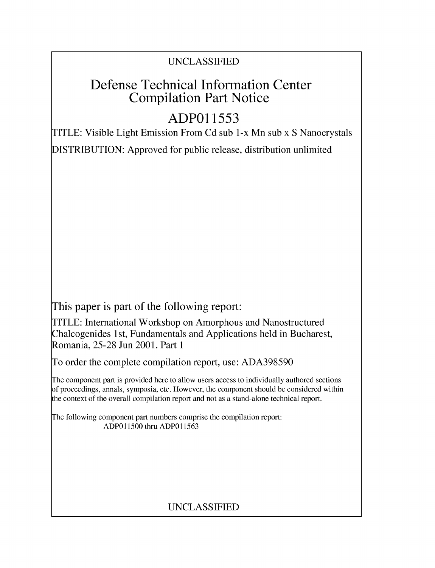### UNCLASSIFIED

## Defense Technical Information Center Compilation Part Notice

# **ADPO1 1553**

TITLE: Visible Light Emission From Cd sub 1-x Mn sub x S Nanocrystals

DISTRIBUTION: Approved for public release, distribution unlimited

This paper is part of the following report:

TITLE: International Workshop on Amorphous and Nanostructured Chalcogenides 1 st, Fundamentals and Applications held in Bucharest, Romania, 25-28 Jun 2001. Part 1

To order the complete compilation report, use: ADA398590

The component part is provided here to allow users access to individually authored sections f proceedings, annals, symposia, etc. However, the component should be considered within [he context of the overall compilation report and not as a stand-alone technical report.

The following component part numbers comprise the compilation report: ADPO11500 thru ADP011563

## UNCLASSIFIED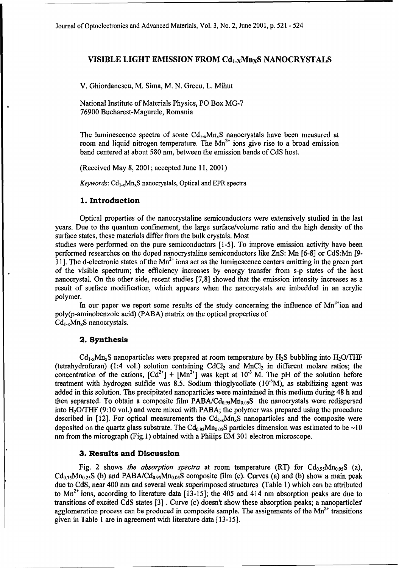#### VISIBLE LIGHT **EMISSION** FROM Cdi-xMnxS **NANOCRYSTALS**

V. Ghiordanescu, M. Sima, M. **N.** Grecu, L. Mihut

National Institute of Materials Physics, PO Box **MG-7** 76900 Bucharest-Magurele, Romania

The luminescence spectra of some  $Cd_{1-x}Mn_xS$  nanocrystals have been measured at room and liquid nitrogen temperature. The  $Mn^{2+}$  ions give rise to a broad emission band centered at about 580 nm, between the emission bands of CdS host.

(Received May 8, 2001; accepted June 11, 2001)

*Keywords:* Cd<sub>1-x</sub>Mn<sub>x</sub>S nanocrystals, Optical and EPR spectra

#### **1.** Introduction

Optical properties of the nanocrystaline semiconductors were extensively studied in the last years. Due to the quantum confinement, the large surface/volume ratio and the high density of the surface states, these materials differ from the bulk crystals. Most

studies were performed on the pure semiconductors [1-5]. To improve emission activity have been performed researches on the doped nanocrystaline semiconductors like ZnS: Mn [6-8] or CdS:Mn [9- 11]. The d-electronic states of the  $Mn^{2+}$  ions act as the luminescence centers emitting in the green part of the visible spectrum; the efficiency increases by energy transfer from s-p states of the host nanocrystal. On the other side, recent studies [7,8] showed that the emission intensity increases as a result of surface modification, which appears when the nanocrystals are imbedded in an acrylic polymer.

In our paper we report some results of the study concerning the influence of  $Mn^{2+}$ ion and poly(p-aminobenzoic acid) (PABA) matrix on the optical properties of  $Cd_{1-x}Mn_xS$  nanocrystals.

#### 2. Synthesis

 $Cd_{1-x}Mn_xS$  nanoparticles were prepared at room temperature by  $H_2S$  bubbling into  $H_2O/THF$ (tetrahydrofuran) (1:4 vol.) solution containing  $CdCl<sub>2</sub>$  and  $MnCl<sub>2</sub>$  in different molare ratios; the concentration of the cations,  $[Cd^{2+}]+[Mn^{2+}]$  was kept at  $10^{-3}$  M. The pH of the solution before treatment with hydrogen sulfide was 8.5. Sodium thioglycollate  $(10^{-3}M)$ , as stabilizing agent was added in this solution. The precipitated nanoparticles were maintained in this medium during 48 h and then separated. To obtain a composite film PABA/ $Cd<sub>0.95</sub>Mn<sub>0.05</sub>S$  the nanocrystals were redispersed into H20/THF (9:10 vol.) and were mixed with PABA; the polymer was prepared using the procedure described in [12]. For optical measurements the  $Cd_{1-x}M_{n_x}S$  nanoparticles and the composite were deposited on the quartz glass substrate. The  $Cd_{0.95}Mn_{0.05}S$  particles dimension was estimated to be  $\sim 10$ nm from the micrograph (Fig. 1) obtained with a Philips EM 301 electron microscope.

#### **3.** Results and Discussion

Fig. 2 shows *the absorption spectra* at room temperature (RT) for  $Cd_{0.95}Mn_{0.05}S$  (a),  $Cd_{0.75}Mn_{0.25}S$  (b) and PABA/Cd<sub>0.95</sub>Mn<sub>0.05</sub>S composite film (c). Curves (a) and (b) show a main peak due to CdS, near 400 nm and several weak superimposed structures (Table 1) which can be attributed to  $Mn^{2+}$  ions, according to literature data [13-15]; the 405 and 414 nm absorption peaks are due to transitions of excited CdS states [3] . Curve (c) doesn't show these absorption peaks; a nanoparticles' agglomeration process can be produced in composite sample. The assignments of the  $Mn^{2+}$  transitions given in Table 1 are in agreement with literature data [13-15].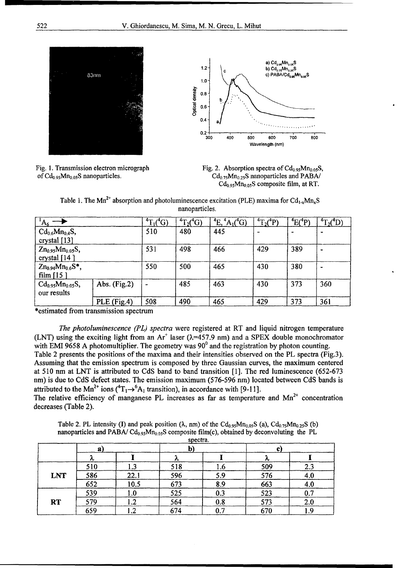





 $Cd_{0.75}Mn_{0.25}S$  nanoparticles and PABA/  $Cd_{0.95}Mn_{0.05}S$  composite film, at RT.

Table 1. The Mn<sup>2+</sup> absorption and photoluminescence excitation (PLE) maxima for Cd<sub>1-x</sub>Mn<sub>x</sub>S nanoparticles.

| $A_6$                                    |                | ${}^{4}T_{1}({}^{4}G)$ | ${}^{4}T_{2}({}^{4}\overline{G})$ | $\mathrm{^{4}E}$ .<br>$A_1({}^4G)$ | ${}^{4}T_{2}({}^{4}P)$ | $^4E(^4P)$ | ${}^{4}T_{2}({}^{4}D)$ |
|------------------------------------------|----------------|------------------------|-----------------------------------|------------------------------------|------------------------|------------|------------------------|
| $Cd_{0.6}Mn_{0.4}S,$<br>crystal $[13]$   |                | 510                    | 480                               | 445                                |                        |            |                        |
| $Zn_{0.95}Mn_{0.05}S,$<br>crystal $[14]$ |                | 531                    | 498                               | 466                                | 429                    | 389        |                        |
| $Zn_{0.94}Mn_{0.6}S^*$ ,<br>film $[15]$  |                | 550                    | 500                               | 465                                | 430                    | 380        |                        |
| $Cd_{0.95}Mn_{0.05}S,$<br>our results    | Abs. $(Fig.2)$ | $\blacksquare$         | 485                               | 463                                | 430                    | 373        | 360                    |
|                                          | PLE (Fig.4)    | 508                    | 490                               | 465                                | 429                    | 373        | 361                    |

\*estimated from transmission spectrum

decreases (Table 2).

*The photoluminescence (PL) spectra* were registered at RT and liquid nitrogen temperature (LNT) using the exciting light from an  $Ar^+$  laser ( $\lambda$ =457.9 nm) and a SPEX double monochromator with EMI 9658 A photomultiplier. The geometry was  $90^{\circ}$  and the registration by photon counting. Table 2 presents the positions of the maxima and their intensities observed on the PL spectra (Fig.3). Assuming that the emission spectrum is composed by three Gaussian curves, the maximum centered at 510 nm at LNT is attributed to CdS band to band transition [1]. The red luminescence (652-673 nm) is due to CdS defect states. The emission maximum (576-596 nm) located between CdS bands is attributed to the Mn<sup>2+</sup> ions  $({}^{4}T_{1} \rightarrow {}^{6}A_{1}$  transition), in accordance with [9-11]. The relative efficiency of manganese PL increases as far as temperature and  $Mn^{2+}$  concentration

Table 2. PL intensity (I) and peak position ( $\lambda$ , nm) of the Cd<sub>0.95</sub>Mn<sub>0.05</sub>S (a), Cd<sub>0.75</sub>Mn<sub>0.25</sub>S (b) nanoparticles and PABA/  $Cd_{0.95}Mn_{0.05}S$  composite film(c), obtained by deconvoluting the PL

|            |     |                |     | spectra. |     |     |
|------------|-----|----------------|-----|----------|-----|-----|
|            | 2)  |                | b)  |          |     |     |
|            | 灬   |                |     |          | ∼   |     |
|            | 510 | 1,3            | 518 | 1.6      | 509 | 2.3 |
| <b>LNT</b> | 586 | 22.1           | 596 | 5.9      | 576 | 4.0 |
|            | 652 | 10.5           | 673 | 8.9      | 663 | 4.0 |
|            | 539 | 1.0            | 525 | 0.3      | 523 | 0.7 |
| <b>RT</b>  | 579 | $\mathbf{1.2}$ | 564 | 0.8      | 573 | 2.0 |
|            | 659 | ີ<br>ے. ا      | 674 | 0.7      | 670 | 1.9 |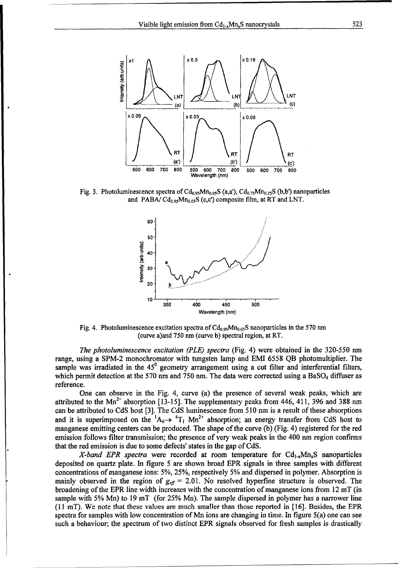

Fig. 3. Photoluminescence spectra of  $Cd_{0.95}Mn_{0.05}S$  (a,a'),  $Cd_{0.75}Mn_{0.25}S$  (b,b') nanoparticles and PABA/ $Cd_{0.95}Mn_{0.05}S$  (c,c') composite film, at RT and LNT.



Fig. 4. Photoluminescence excitation spectra of  $Cd_{0.95}Mn_{0.05}S$  nanoparticles in the 570 nm (curve a)and 750 nm (curve b) spectral region, at RT.

*The photoluminescence excitation (PLE) spectra* (Fig. 4) were obtained in the 320-550 nm range, using a SPM-2 monochromator with tungsten lamp and EMI 6558 QB photomultiplier. The sample was irradiated in the  $45^{\circ}$  geometry arrangement using a cut filter and interferential filters, which permit detection at the 570 nm and 750 nm. The data were corrected using a  $BaSO<sub>4</sub>$  diffuser as reference.

One can observe in the Fig. 4, curve (a) the presence of several weak peaks, which are attributed to the Mn<sup>2+</sup> absorption [13-15]. The supplementary peaks from 446, 411, 396 and 388 nm can be attributed to CdS host [3]. The CdS luminescence from 510 nm is a result of these absorptions and it is superimposed on the  ${}^{1}A_{6}\rightarrow {}^{4}T_{1}$  Mn<sup>2+</sup> absorption; an energy transfer from CdS host to manganese emitting centers can be produced. The shape of the curve (b) (Fig. 4) registered for the red emission follows filter transmission; the presence of very weak peaks in the 400 nm region confirms that the red emission is due to some defects' states in the gap of CdS.

*X-band EPR spectra* were recorded at room temperature for  $Cd_{1-x}M_{1-x}S$  nanoparticles deposited on quartz plate. In figure 5 are shown broad EPR signals in three samples with different concentrations of manganese ions: 5%, 25%, respectively 5% and dispersed in polymer. Absorption is mainly observed in the region of  $g_{\text{eff}} = 2.01$ . No resolved hyperfine structure is observed. The broadening of the EPR line width increases with the concentration of manganese ions from 12 mT (in sample with 5% Mn) to 19 mT (for 25% Mn). The sample dispersed in polymer has a narrower line (11 mT). We note that these values are much smaller than those reported in [16]. Besides, the EPR spectra for samples with low concentration of Mn ions are changing in time. In figure 5(a) one can see such a behaviour; the spectrum of two distinct EPR signals observed for fresh samples is drastically